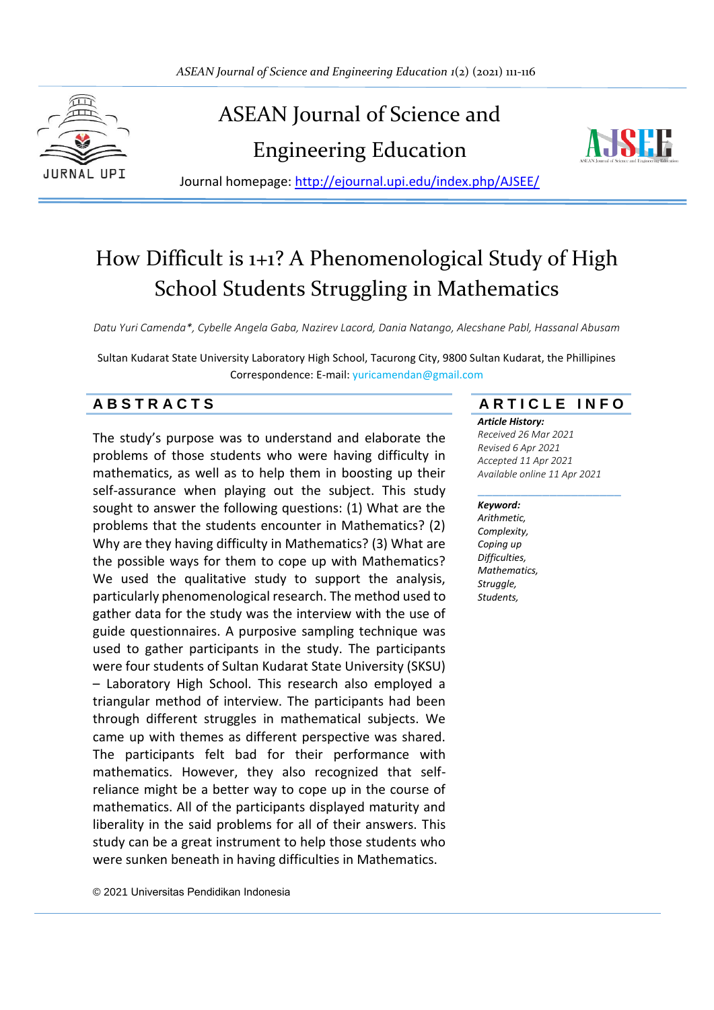

# ASEAN Journal of Science and

Engineering Education



Journal homepage:<http://ejournal.upi.edu/index.php/AJSEE/>

## How Difficult is 1+1? A Phenomenological Study of High School Students Struggling in Mathematics

*Datu Yuri Camenda\*, Cybelle Angela Gaba, Nazirev Lacord, Dania Natango, Alecshane Pabl, Hassanal Abusam*

Sultan Kudarat State University Laboratory High School, Tacurong City, 9800 Sultan Kudarat, the Phillipines Correspondence: E-mail: yuricamendan@gmail.com

The study's purpose was to understand and elaborate the problems of those students who were having difficulty in mathematics, as well as to help them in boosting up their self-assurance when playing out the subject. This study sought to answer the following questions: (1) What are the problems that the students encounter in Mathematics? (2) Why are they having difficulty in Mathematics? (3) What are the possible ways for them to cope up with Mathematics? We used the qualitative study to support the analysis, particularly phenomenological research. The method used to gather data for the study was the interview with the use of guide questionnaires. A purposive sampling technique was used to gather participants in the study. The participants were four students of Sultan Kudarat State University (SKSU) – Laboratory High School. This research also employed a triangular method of interview. The participants had been through different struggles in mathematical subjects. We came up with themes as different perspective was shared. The participants felt bad for their performance with mathematics. However, they also recognized that selfreliance might be a better way to cope up in the course of mathematics. All of the participants displayed maturity and liberality in the said problems for all of their answers. This study can be a great instrument to help those students who were sunken beneath in having difficulties in Mathematics.

### **A B S T R A C T S A R T I C L E I N F O**

*Article History:*

*Received 26 Mar 2021 Revised 6 Apr 2021 Accepted 11 Apr 2021 Available online 11 Apr 2021*

#### \_\_\_\_\_\_\_\_\_\_\_\_\_\_\_\_\_\_\_\_ *Keyword:*

*Arithmetic, Complexity, Coping up Difficulties, Mathematics, Struggle, Students,* 

© 2021 Universitas Pendidikan Indonesia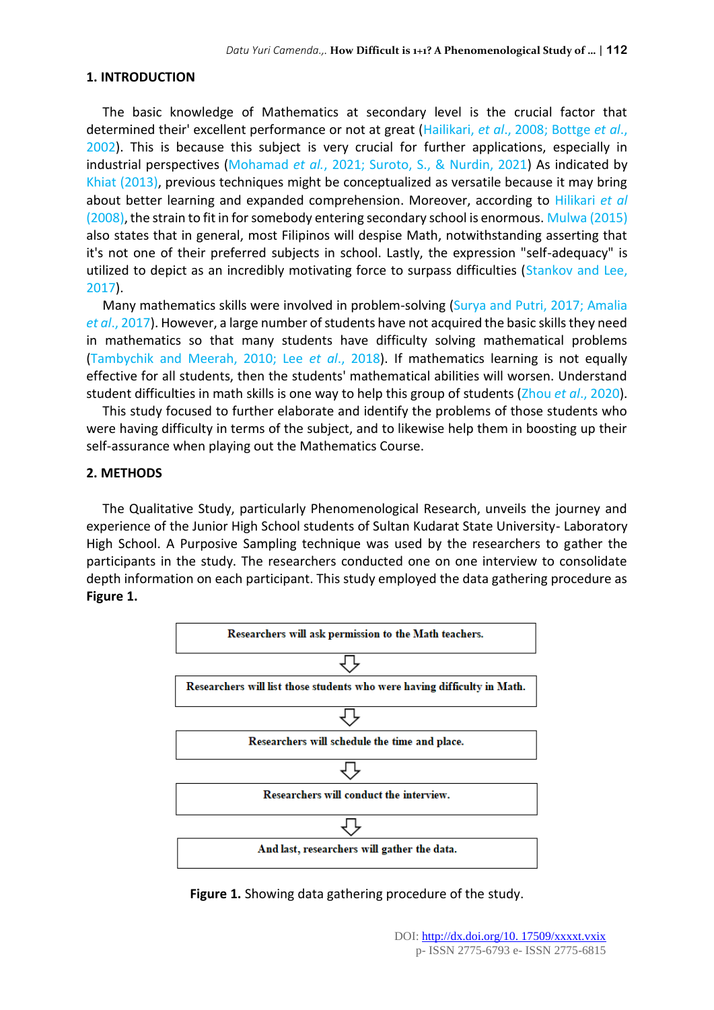#### **1. INTRODUCTION**

The basic knowledge of Mathematics at secondary level is the crucial factor that determined their' excellent performance or not at great (Hailikari, *et al*., 2008; Bottge *et al*., 2002). This is because this subject is very crucial for further applications, especially in industrial perspectives (Mohamad *et al.*, 2021; Suroto, S., & Nurdin, 2021) As indicated by Khiat (2013), previous techniques might be conceptualized as versatile because it may bring about better learning and expanded comprehension. Moreover, according to Hilikari *et al* (2008), the strain to fit in for somebody entering secondary school is enormous. Mulwa (2015) also states that in general, most Filipinos will despise Math, notwithstanding asserting that it's not one of their preferred subjects in school. Lastly, the expression "self-adequacy" is utilized to depict as an incredibly motivating force to surpass difficulties (Stankov and Lee, 2017).

Many mathematics skills were involved in problem-solving (Surya and Putri, 2017; Amalia *et al*., 2017). However, a large number of students have not acquired the basic skills they need in mathematics so that many students have difficulty solving mathematical problems (Tambychik and Meerah, 2010; Lee *et al*., 2018). If mathematics learning is not equally effective for all students, then the students' mathematical abilities will worsen. Understand student difficulties in math skills is one way to help this group of students (Zhou *et al*., 2020).

This study focused to further elaborate and identify the problems of those students who were having difficulty in terms of the subject, and to likewise help them in boosting up their self-assurance when playing out the Mathematics Course.

#### **2. METHODS**

The Qualitative Study, particularly Phenomenological Research, unveils the journey and experience of the Junior High School students of Sultan Kudarat State University- Laboratory High School. A Purposive Sampling technique was used by the researchers to gather the participants in the study. The researchers conducted one on one interview to consolidate depth information on each participant. This study employed the data gathering procedure as **Figure 1.**



**Figure 1.** Showing data gathering procedure of the study.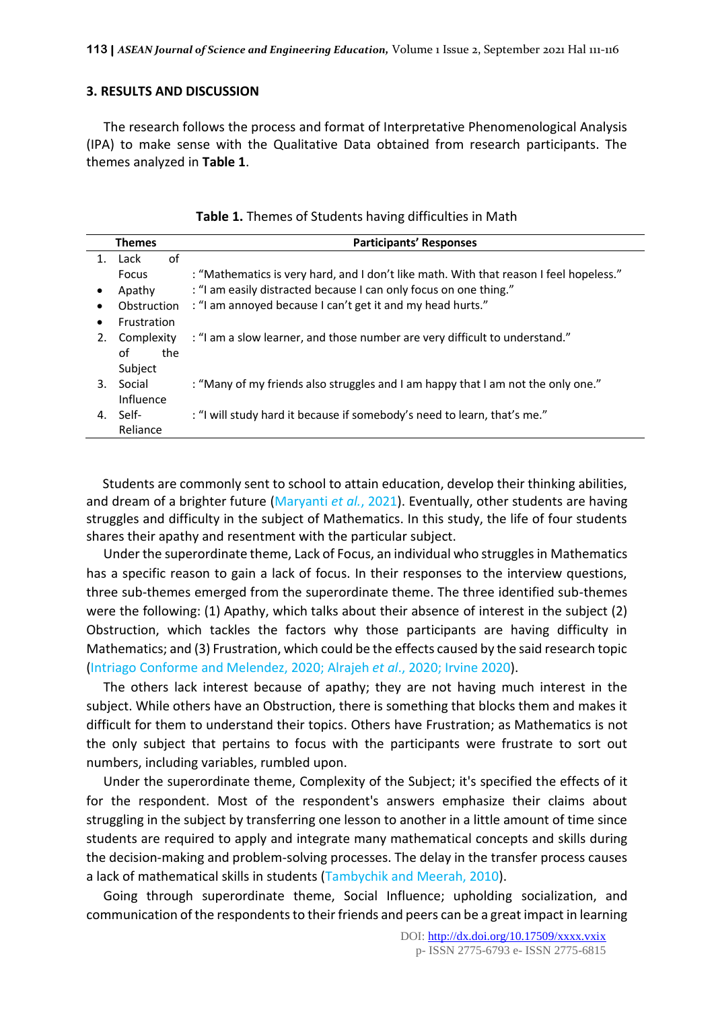#### **3. RESULTS AND DISCUSSION**

The research follows the process and format of Interpretative Phenomenological Analysis (IPA) to make sense with the Qualitative Data obtained from research participants. The themes analyzed in **Table 1**.

|         | <b>Themes</b> | <b>Participants' Responses</b>                                                         |
|---------|---------------|----------------------------------------------------------------------------------------|
| $1_{-}$ | 0f<br>Lack    |                                                                                        |
|         | <b>Focus</b>  | : "Mathematics is very hard, and I don't like math. With that reason I feel hopeless." |
|         | Apathy        | : "I am easily distracted because I can only focus on one thing."                      |
|         | Obstruction   | : "I am annoyed because I can't get it and my head hurts."                             |
|         | Frustration   |                                                                                        |
| 2.      | Complexity    | : "I am a slow learner, and those number are very difficult to understand."            |
|         | οf<br>the     |                                                                                        |
|         | Subject       |                                                                                        |
| 3.      | Social        | : "Many of my friends also struggles and I am happy that I am not the only one."       |
|         | Influence     |                                                                                        |
| 4.      | - Self        | : "I will study hard it because if somebody's need to learn, that's me."               |
|         | Reliance      |                                                                                        |

| Table 1. Themes of Students having difficulties in Math |  |
|---------------------------------------------------------|--|
|---------------------------------------------------------|--|

Students are commonly sent to school to attain education, develop their thinking abilities, and dream of a brighter future (Maryanti *et al.*, 2021). Eventually, other students are having struggles and difficulty in the subject of Mathematics. In this study, the life of four students shares their apathy and resentment with the particular subject.

Under the superordinate theme, Lack of Focus, an individual who struggles in Mathematics has a specific reason to gain a lack of focus. In their responses to the interview questions, three sub-themes emerged from the superordinate theme. The three identified sub-themes were the following: (1) Apathy, which talks about their absence of interest in the subject (2) Obstruction, which tackles the factors why those participants are having difficulty in Mathematics; and (3) Frustration, which could be the effects caused by the said research topic (Intriago Conforme and Melendez, 2020; Alrajeh *et al*., 2020; Irvine 2020).

The others lack interest because of apathy; they are not having much interest in the subject. While others have an Obstruction, there is something that blocks them and makes it difficult for them to understand their topics. Others have Frustration; as Mathematics is not the only subject that pertains to focus with the participants were frustrate to sort out numbers, including variables, rumbled upon.

Under the superordinate theme, Complexity of the Subject; it's specified the effects of it for the respondent. Most of the respondent's answers emphasize their claims about struggling in the subject by transferring one lesson to another in a little amount of time since students are required to apply and integrate many mathematical concepts and skills during the decision-making and problem-solving processes. The delay in the transfer process causes a lack of mathematical skills in students (Tambychik and Meerah, 2010).

Going through superordinate theme, Social Influence; upholding socialization, and communication of the respondents to their friends and peers can be a great impact in learning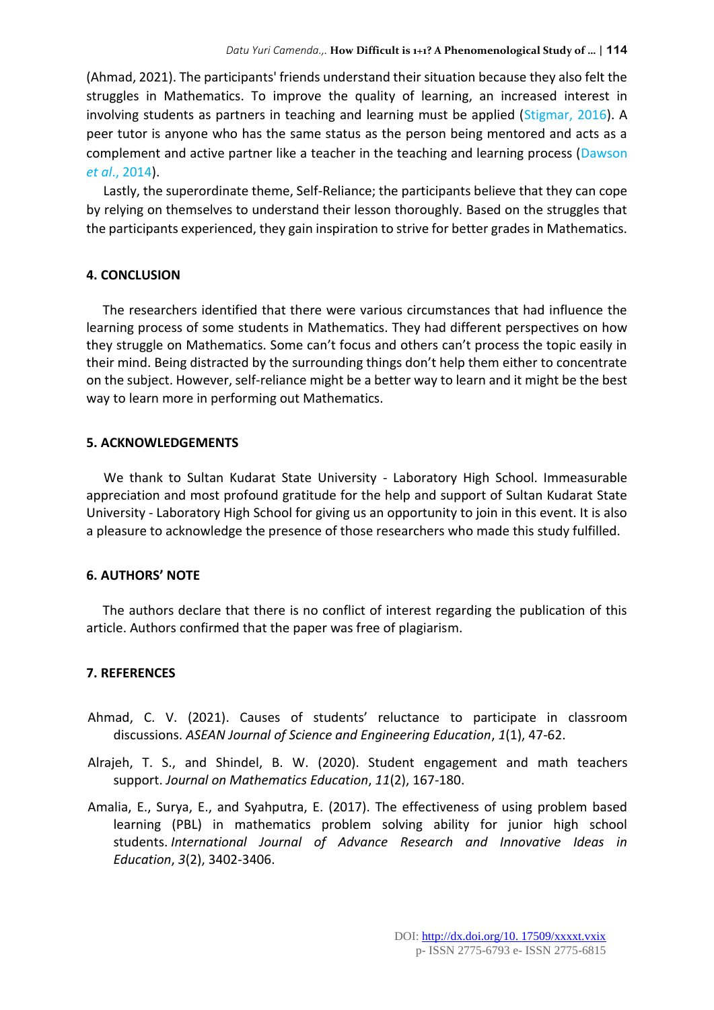(Ahmad, 2021). The participants' friends understand their situation because they also felt the struggles in Mathematics. To improve the quality of learning, an increased interest in involving students as partners in teaching and learning must be applied (Stigmar, 2016). A peer tutor is anyone who has the same status as the person being mentored and acts as a complement and active partner like a teacher in the teaching and learning process (Dawson *et al*., 2014).

Lastly, the superordinate theme, Self-Reliance; the participants believe that they can cope by relying on themselves to understand their lesson thoroughly. Based on the struggles that the participants experienced, they gain inspiration to strive for better grades in Mathematics.

#### **4. CONCLUSION**

The researchers identified that there were various circumstances that had influence the learning process of some students in Mathematics. They had different perspectives on how they struggle on Mathematics. Some can't focus and others can't process the topic easily in their mind. Being distracted by the surrounding things don't help them either to concentrate on the subject. However, self-reliance might be a better way to learn and it might be the best way to learn more in performing out Mathematics.

#### **5. ACKNOWLEDGEMENTS**

We thank to Sultan Kudarat State University - Laboratory High School. Immeasurable appreciation and most profound gratitude for the help and support of Sultan Kudarat State University - Laboratory High School for giving us an opportunity to join in this event. It is also a pleasure to acknowledge the presence of those researchers who made this study fulfilled.

#### **6. AUTHORS' NOTE**

The authors declare that there is no conflict of interest regarding the publication of this article. Authors confirmed that the paper was free of plagiarism.

#### **7. REFERENCES**

- Ahmad, C. V. (2021). Causes of students' reluctance to participate in classroom discussions. *ASEAN Journal of Science and Engineering Education*, *1*(1), 47-62.
- Alrajeh, T. S., and Shindel, B. W. (2020). Student engagement and math teachers support. *Journal on Mathematics Education*, *11*(2), 167-180.
- Amalia, E., Surya, E., and Syahputra, E. (2017). The effectiveness of using problem based learning (PBL) in mathematics problem solving ability for junior high school students. *International Journal of Advance Research and Innovative Ideas in Education*, *3*(2), 3402-3406.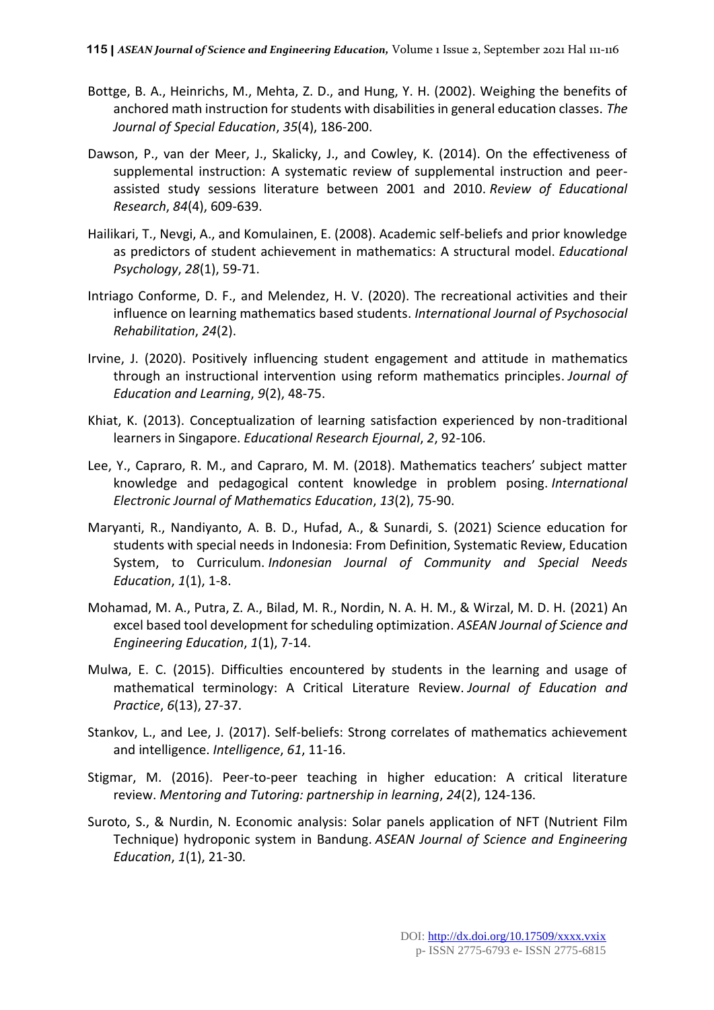- Bottge, B. A., Heinrichs, M., Mehta, Z. D., and Hung, Y. H. (2002). Weighing the benefits of anchored math instruction for students with disabilities in general education classes. *The Journal of Special Education*, *35*(4), 186-200.
- Dawson, P., van der Meer, J., Skalicky, J., and Cowley, K. (2014). On the effectiveness of supplemental instruction: A systematic review of supplemental instruction and peerassisted study sessions literature between 2001 and 2010. *Review of Educational Research*, *84*(4), 609-639.
- Hailikari, T., Nevgi, A., and Komulainen, E. (2008). Academic self‐beliefs and prior knowledge as predictors of student achievement in mathematics: A structural model. *Educational Psychology*, *28*(1), 59-71.
- Intriago Conforme, D. F., and Melendez, H. V. (2020). The recreational activities and their influence on learning mathematics based students. *International Journal of Psychosocial Rehabilitation*, *24*(2).
- Irvine, J. (2020). Positively influencing student engagement and attitude in mathematics through an instructional intervention using reform mathematics principles. *Journal of Education and Learning*, *9*(2), 48-75.
- Khiat, K. (2013). Conceptualization of learning satisfaction experienced by non-traditional learners in Singapore. *Educational Research Ejournal*, *2*, 92-106.
- Lee, Y., Capraro, R. M., and Capraro, M. M. (2018). Mathematics teachers' subject matter knowledge and pedagogical content knowledge in problem posing. *International Electronic Journal of Mathematics Education*, *13*(2), 75-90.
- Maryanti, R., Nandiyanto, A. B. D., Hufad, A., & Sunardi, S. (2021) Science education for students with special needs in Indonesia: From Definition, Systematic Review, Education System, to Curriculum. *Indonesian Journal of Community and Special Needs Education*, *1*(1), 1-8.
- Mohamad, M. A., Putra, Z. A., Bilad, M. R., Nordin, N. A. H. M., & Wirzal, M. D. H. (2021) An excel based tool development for scheduling optimization. *ASEAN Journal of Science and Engineering Education*, *1*(1), 7-14.
- Mulwa, E. C. (2015). Difficulties encountered by students in the learning and usage of mathematical terminology: A Critical Literature Review. *Journal of Education and Practice*, *6*(13), 27-37.
- Stankov, L., and Lee, J. (2017). Self-beliefs: Strong correlates of mathematics achievement and intelligence. *Intelligence*, *61*, 11-16.
- Stigmar, M. (2016). Peer-to-peer teaching in higher education: A critical literature review. *Mentoring and Tutoring: partnership in learning*, *24*(2), 124-136.
- Suroto, S., & Nurdin, N. Economic analysis: Solar panels application of NFT (Nutrient Film Technique) hydroponic system in Bandung. *ASEAN Journal of Science and Engineering Education*, *1*(1), 21-30.